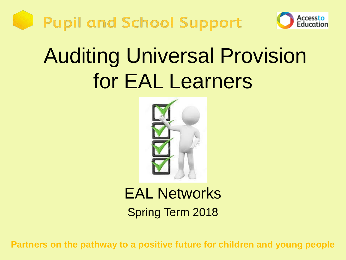



### Auditing Universal Provision for EAL Learners



### EAL Networks Spring Term 2018

**Partners on the pathway to a positive future for children and young people**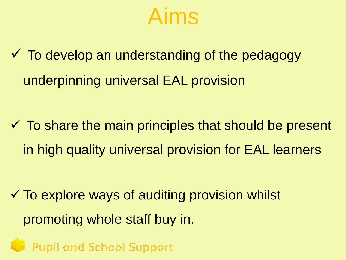

 $\checkmark$  To develop an understanding of the pedagogy underpinning universal EAL provision

 $\checkmark$  To share the main principles that should be present in high quality universal provision for EAL learners

 $\checkmark$  To explore ways of auditing provision whilst promoting whole staff buy in.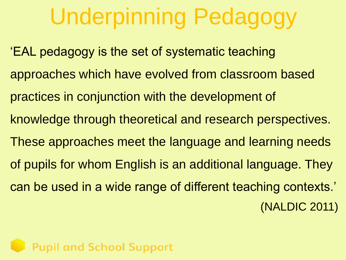## Underpinning Pedagogy

'EAL pedagogy is the set of systematic teaching approaches which have evolved from classroom based practices in conjunction with the development of knowledge through theoretical and research perspectives. These approaches meet the language and learning needs of pupils for whom English is an additional language. They can be used in a wide range of different teaching contexts.' (NALDIC 2011)

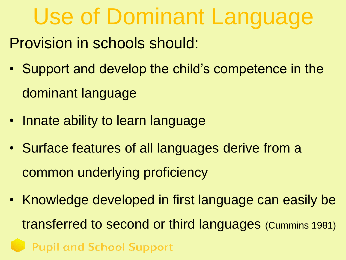# Use of Dominant Language

Provision in schools should:

- Support and develop the child's competence in the dominant language
- Innate ability to learn language
- Surface features of all languages derive from a common underlying proficiency
- Knowledge developed in first language can easily be transferred to second or third languages (Cummins 1981)**Pupil and School Support**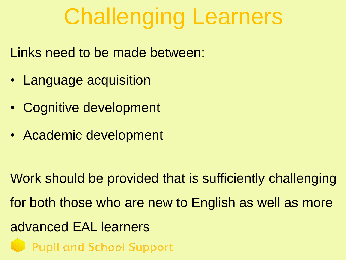## Challenging Learners

Links need to be made between:

- Language acquisition
- Cognitive development
- Academic development

Work should be provided that is sufficiently challenging for both those who are new to English as well as more advanced EAL learners**Pupil and School Support**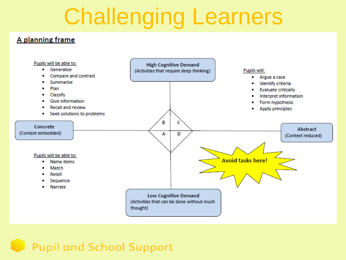## Challenging Learners

#### A planning frame

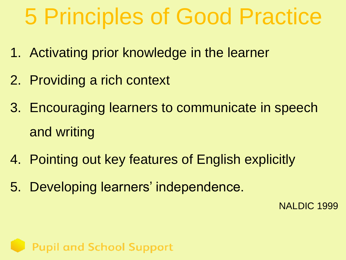## 5 Principles of Good Practice

- 1. Activating prior knowledge in the learner
- 2. Providing a rich context
- 3. Encouraging learners to communicate in speech and writing
- 4. Pointing out key features of English explicitly
- 5. Developing learners' independence.

NALDIC 1999

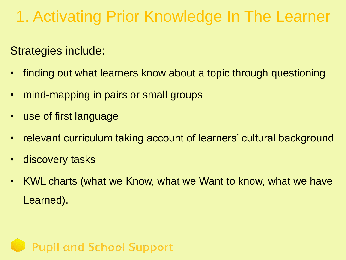### 1. Activating Prior Knowledge In The Learner

Strategies include:

- finding out what learners know about a topic through questioning
- mind-mapping in pairs or small groups
- use of first language
- relevant curriculum taking account of learners' cultural background
- discovery tasks
- KWL charts (what we Know, what we Want to know, what we have Learned).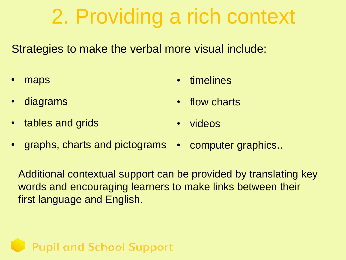### 2. Providing a rich context

Strategies to make the verbal more visual include:

maps

**timelines** 

• diagrams

flow charts

tables and grids

- videos
- graphs, charts and pictograms • computer graphics..

**Pupil and School Support** 

Additional contextual support can be provided by translating key words and encouraging learners to make links between their first language and English.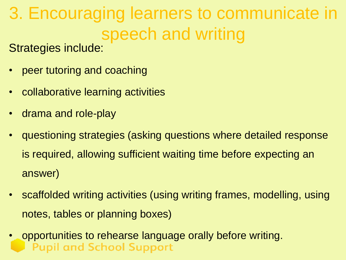### 3. Encouraging learners to communicate in speech and writing

Strategies include:

- peer tutoring and coaching
- collaborative learning activities
- drama and role-play
- questioning strategies (asking questions where detailed response is required, allowing sufficient waiting time before expecting an answer)
- scaffolded writing activities (using writing frames, modelling, using notes, tables or planning boxes)
- opportunities to rehearse language orally before writing.**Pupil and School Support**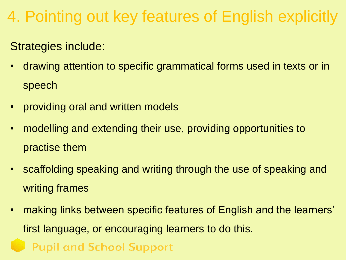### 4. Pointing out key features of English explicitly

#### Strategies include:

- drawing attention to specific grammatical forms used in texts or in speech
- providing oral and written models
- modelling and extending their use, providing opportunities to practise them
- scaffolding speaking and writing through the use of speaking and writing frames
- making links between specific features of English and the learners' first language, or encouraging learners to do this.**Pupil and School Support**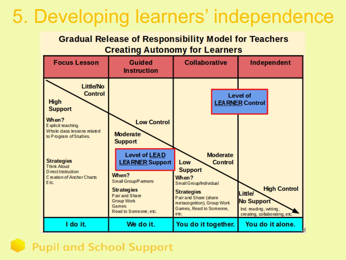### 5. Developing learners' independence

#### **Gradual Release of Responsibility Model for Teachers Creating Autonomy for Learners**

| <b>Focus Lesson</b>                                                                                             | <b>Guided</b><br><b>Instruction</b>                                                        | <b>Collaborative</b>                                                                                                                  | Independent                                                                                                           |
|-----------------------------------------------------------------------------------------------------------------|--------------------------------------------------------------------------------------------|---------------------------------------------------------------------------------------------------------------------------------------|-----------------------------------------------------------------------------------------------------------------------|
| <b>Little/No</b><br><b>Control</b><br><b>High</b><br><b>Support</b>                                             |                                                                                            |                                                                                                                                       | <b>Level of</b><br><b>LEA RNER Control</b>                                                                            |
| When?<br>Explicit teaching.<br>Whole class lessons related<br>to Program of Studies.                            | <b>Low Control</b><br><b>Moderate</b><br><b>Support</b>                                    |                                                                                                                                       |                                                                                                                       |
| <b>Strategies</b><br><b>Think Aloud</b><br>D irect Instruction<br>C reation of Anchor Charts<br>E <sub>tc</sub> | <b>Level of LEAD</b><br><b>LEA RNER Support</b><br>When?<br><b>Small Group/P artners</b>   | <b>Moderate</b><br><b>Control</b><br>Low<br><b>Support</b><br>When?                                                                   |                                                                                                                       |
|                                                                                                                 | <b>Strategies</b><br>Pair and Share<br><b>Group Work</b><br>Games<br>Read to Someone, etc. | Small Group/Individual<br><b>Strategies</b><br>Pair and Share (share<br>metacognition), Group Work<br>Games, Read to Someone,<br>etc. | <b>High Control</b><br><b>Little/</b><br><b>No Support</b><br>Ind. reading, writing,<br>creating, collaborating, etc. |
| I do it.                                                                                                        | We do it.                                                                                  | You do it together.                                                                                                                   | You do it alone.                                                                                                      |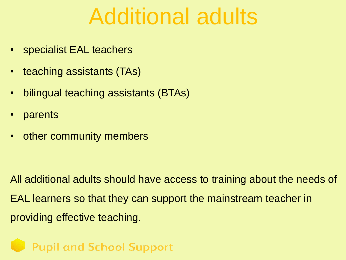### Additional adults

- specialist EAL teachers
- teaching assistants (TAs)
- bilingual teaching assistants (BTAs)
- parents
- other community members

All additional adults should have access to training about the needs of EAL learners so that they can support the mainstream teacher in providing effective teaching.

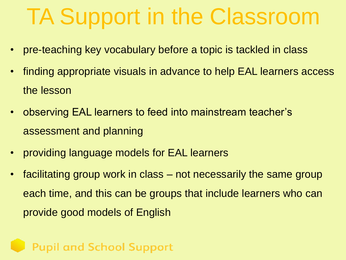## TA Support in the Classroom

- pre-teaching key vocabulary before a topic is tackled in class
- finding appropriate visuals in advance to help EAL learners access the lesson
- observing EAL learners to feed into mainstream teacher's assessment and planning
- providing language models for EAL learners
- facilitating group work in class not necessarily the same group each time, and this can be groups that include learners who can provide good models of English

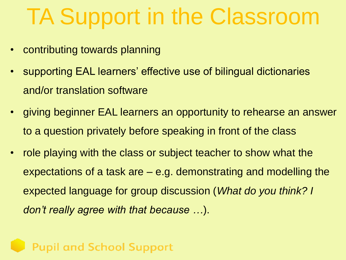## TA Support in the Classroom

- contributing towards planning
- supporting EAL learners' effective use of bilingual dictionaries and/or translation software
- giving beginner EAL learners an opportunity to rehearse an answer to a question privately before speaking in front of the class
- role playing with the class or subject teacher to show what the expectations of a task are – e.g. demonstrating and modelling the expected language for group discussion (*What do you think? I don't really agree with that because …*).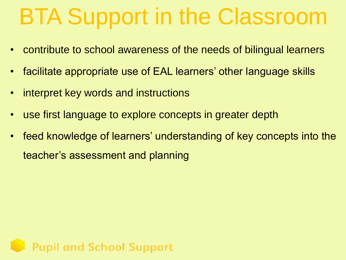## BTA Support in the Classroom

- contribute to school awareness of the needs of bilingual learners
- facilitate appropriate use of EAL learners' other language skills
- interpret key words and instructions
- use first language to explore concepts in greater depth
- feed knowledge of learners' understanding of key concepts into the teacher's assessment and planning

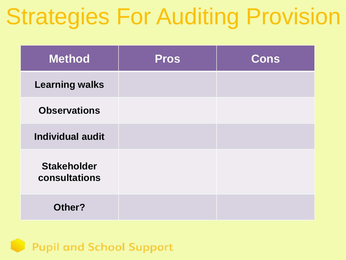## Strategies For Auditing Provision

| <b>Method</b>                       | <b>Pros</b> | <b>Cons</b> |
|-------------------------------------|-------------|-------------|
| <b>Learning walks</b>               |             |             |
| <b>Observations</b>                 |             |             |
| <b>Individual audit</b>             |             |             |
| <b>Stakeholder</b><br>consultations |             |             |
| Other?                              |             |             |